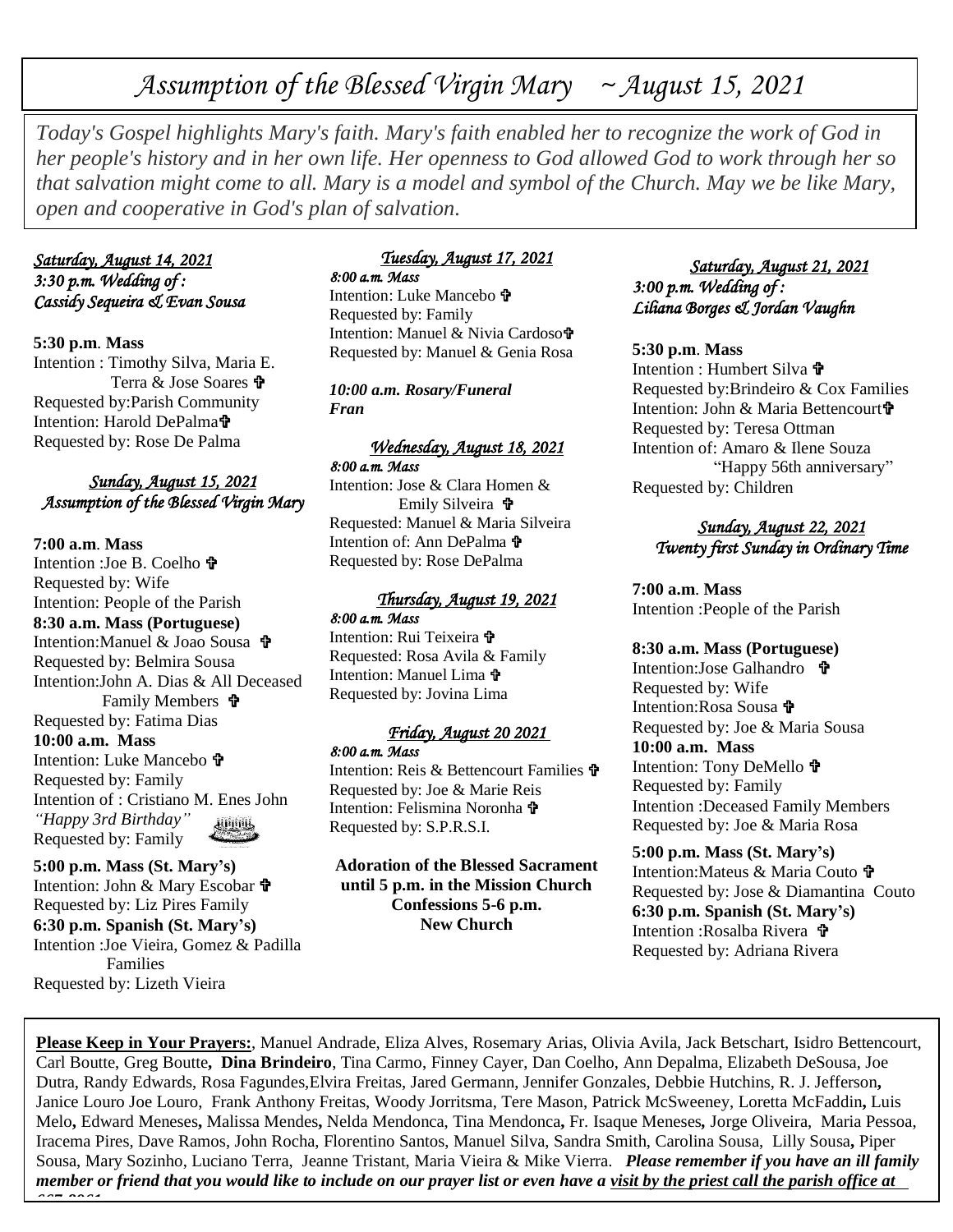# *Assumption of the Blessed Virgin Mary ~ August 15, 2021*

*Today's Gospel highlights Mary's faith. Mary's faith enabled her to recognize the work of God in her people's history and in her own life. Her openness to God allowed God to work through her so that salvation might come to all. Mary is a model and symbol of the Church. May we be like Mary, open and cooperative in God's plan of salvation.*

# *Saturday, August 14, 2021 3:30 p.m. Wedding of : Cassidy Sequeira & Evan Sousa*

**5:30 p.m**. **Mass** Intention : Timothy Silva, Maria E. Terra & Jose Soares  $\mathbf{\hat{\mathbf{F}}}$ Requested by:Parish Community Intention: Harold DePalma Requested by: Rose De Palma

# *Sunday, August 15, 2021 Assumption of the Blessed Virgin Mary*

**7:00 a.m**. **Mass** Intention :Joe B. Coelho **th** Requested by: Wife Intention: People of the Parish **8:30 a.m. Mass (Portuguese)** Intention:Manuel & Joao Sousa Requested by: Belmira Sousa Intention:John A. Dias & All Deceased Family Members Requested by: Fatima Dias **10:00 a.m. Mass** Intention: Luke Mancebo Requested by: Family Intention of : Cristiano M. Enes John *"Happy 3rd Birthday"* **Allings** Requested by: Family

**5:00 p.m. Mass (St. Mary's)** Intention: John & Mary Escobar Requested by: Liz Pires Family **6:30 p.m. Spanish (St. Mary's)** Intention :Joe Vieira, Gomez & Padilla Families Requested by: Lizeth Vieira

# *Tuesday, August 17, 2021*

*8:00 a.m. Mass*  Intention: Luke Mancebo Requested by: Family Intention: Manuel & Nivia Cardoso Requested by: Manuel & Genia Rosa

*10:00 a.m. Rosary/Funeral Fran*

#### *Wednesday, August 18, 2021 8:00 a.m. Mass*

Intention: Jose & Clara Homen & Emily Silveira  $\mathbf{\hat{v}}$ Requested: Manuel & Maria Silveira Intention of: Ann DePalma  $\mathbf{\hat{\mathbf{r}}}$ Requested by: Rose DePalma

# *Thursday, August 19, 2021 8:00 a.m. Mass*  Intention: Rui Teixeira

Requested: Rosa Avila & Family Intention: Manuel Lima  $\mathbf{\hat{v}}$ Requested by: Jovina Lima

# *Friday, August 20 2021*

*8:00 a.m. Mass*  Intention: Reis & Bettencourt Families 守

Requested by: Joe & Marie Reis Intention: Felismina Noronha Requested by: S.P.R.S.I.

**Adoration of the Blessed Sacrament until 5 p.m. in the Mission Church Confessions 5-6 p.m. New Church**

### *Saturday, August 21, 2021 3:00 p.m. Wedding of : Liliana Borges & Jordan Vaughn*

#### **5:30 p.m**. **Mass**

Intention : Humbert Silva Requested by:Brindeiro & Cox Families Intention: John & Maria Bettencourt Requested by: Teresa Ottman Intention of: Amaro & Ilene Souza "Happy 56th anniversary" Requested by: Children

# *Sunday, August 22, 2021 Twenty first Sunday in Ordinary Time*

**7:00 a.m**. **Mass** Intention :People of the Parish

**8:30 a.m. Mass (Portuguese)** Intention:Jose Galhandro **守** Requested by: Wife Intention:Rosa Sousa Requested by: Joe & Maria Sousa **10:00 a.m. Mass** Intention: Tony DeMello Requested by: Family Intention :Deceased Family Members Requested by: Joe & Maria Rosa

**5:00 p.m. Mass (St. Mary's)** Intention: Mateus & Maria Couto 宁 Requested by: Jose & Diamantina Couto **6:30 p.m. Spanish (St. Mary's)** Intention :Rosalba Rivera Requested by: Adriana Rivera

**Please Keep in Your Prayers:**, Manuel Andrade, Eliza Alves, Rosemary Arias, Olivia Avila, Jack Betschart, Isidro Bettencourt, Carl Boutte, Greg Boutte**, Dina Brindeiro**, Tina Carmo, Finney Cayer, Dan Coelho, Ann Depalma, Elizabeth DeSousa, Joe Dutra, Randy Edwards, Rosa Fagundes,Elvira Freitas, Jared Germann, Jennifer Gonzales, Debbie Hutchins, R. J. Jefferson**,** Janice Louro Joe Louro, Frank Anthony Freitas, Woody Jorritsma, Tere Mason, Patrick McSweeney, Loretta McFaddin**,** Luis Melo**,** Edward Meneses**,** Malissa Mendes**,** Nelda Mendonca, Tina Mendonca**,** Fr. Isaque Meneses*,* Jorge Oliveira, Maria Pessoa, Iracema Pires, Dave Ramos, John Rocha, Florentino Santos, Manuel Silva, Sandra Smith, Carolina Sousa, Lilly Sousa**,** Piper Sousa, Mary Sozinho, Luciano Terra, Jeanne Tristant, Maria Vieira & Mike Vierra. *Please remember if you have an ill family member or friend that you would like to include on our prayer list or even have a visit by the priest call the parish office at 667-8961.*